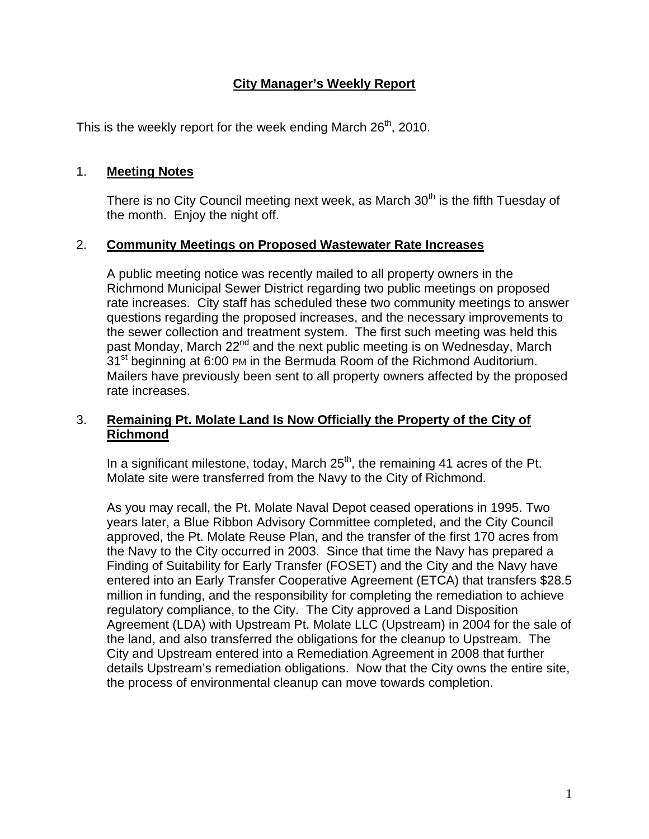# **City Manager's Weekly Report**

This is the weekly report for the week ending March  $26<sup>th</sup>$ , 2010.

### 1. **Meeting Notes**

There is no City Council meeting next week, as March  $30<sup>th</sup>$  is the fifth Tuesday of the month. Enjoy the night off.

### 2. **Community Meetings on Proposed Wastewater Rate Increases**

A public meeting notice was recently mailed to all property owners in the Richmond Municipal Sewer District regarding two public meetings on proposed rate increases. City staff has scheduled these two community meetings to answer questions regarding the proposed increases, and the necessary improvements to the sewer collection and treatment system. The first such meeting was held this past Monday, March 22<sup>nd</sup> and the next public meeting is on Wednesday, March 31<sup>st</sup> beginning at 6:00 PM in the Bermuda Room of the Richmond Auditorium. Mailers have previously been sent to all property owners affected by the proposed rate increases.

### 3. **Remaining Pt. Molate Land Is Now Officially the Property of the City of Richmond**

In a significant milestone, today, March  $25<sup>th</sup>$ , the remaining 41 acres of the Pt. Molate site were transferred from the Navy to the City of Richmond.

As you may recall, the Pt. Molate Naval Depot ceased operations in 1995. Two years later, a Blue Ribbon Advisory Committee completed, and the City Council approved, the Pt. Molate Reuse Plan, and the transfer of the first 170 acres from the Navy to the City occurred in 2003. Since that time the Navy has prepared a Finding of Suitability for Early Transfer (FOSET) and the City and the Navy have entered into an Early Transfer Cooperative Agreement (ETCA) that transfers \$28.5 million in funding, and the responsibility for completing the remediation to achieve regulatory compliance, to the City. The City approved a Land Disposition Agreement (LDA) with Upstream Pt. Molate LLC (Upstream) in 2004 for the sale of the land, and also transferred the obligations for the cleanup to Upstream. The City and Upstream entered into a Remediation Agreement in 2008 that further details Upstream's remediation obligations. Now that the City owns the entire site, the process of environmental cleanup can move towards completion.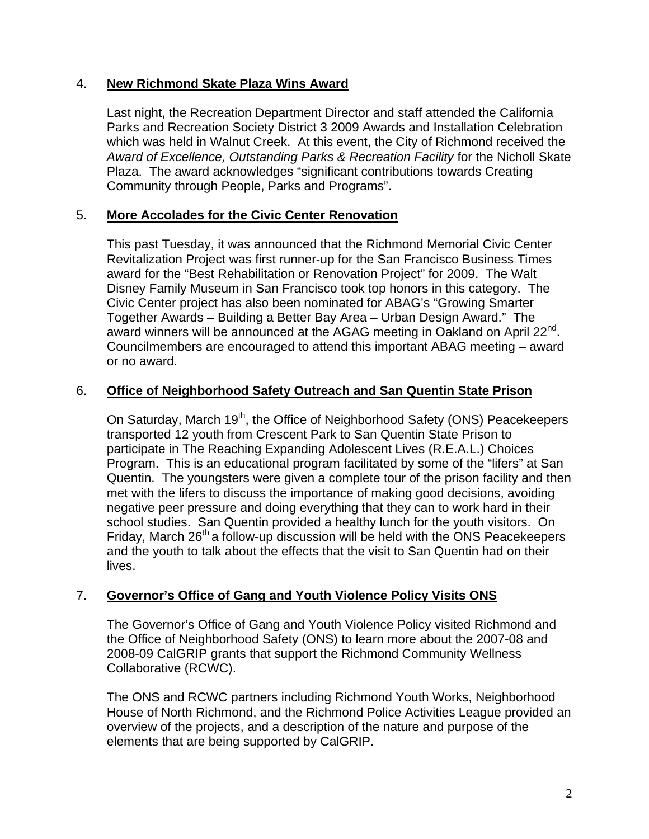## 4. **New Richmond Skate Plaza Wins Award**

Last night, the Recreation Department Director and staff attended the California Parks and Recreation Society District 3 2009 Awards and Installation Celebration which was held in Walnut Creek. At this event, the City of Richmond received the *Award of Excellence, Outstanding Parks & Recreation Facility* for the Nicholl Skate Plaza. The award acknowledges "significant contributions towards Creating Community through People, Parks and Programs".

### 5. **More Accolades for the Civic Center Renovation**

This past Tuesday, it was announced that the Richmond Memorial Civic Center Revitalization Project was first runner-up for the San Francisco Business Times award for the "Best Rehabilitation or Renovation Project" for 2009. The Walt Disney Family Museum in San Francisco took top honors in this category. The Civic Center project has also been nominated for ABAG's "Growing Smarter Together Awards – Building a Better Bay Area – Urban Design Award." The award winners will be announced at the AGAG meeting in Oakland on April 22<sup>nd</sup>. Councilmembers are encouraged to attend this important ABAG meeting – award or no award.

### 6. **Office of Neighborhood Safety Outreach and San Quentin State Prison**

On Saturday, March 19<sup>th</sup>, the Office of Neighborhood Safety (ONS) Peacekeepers transported 12 youth from Crescent Park to San Quentin State Prison to participate in The Reaching Expanding Adolescent Lives (R.E.A.L.) Choices Program. This is an educational program facilitated by some of the "lifers" at San Quentin. The youngsters were given a complete tour of the prison facility and then met with the lifers to discuss the importance of making good decisions, avoiding negative peer pressure and doing everything that they can to work hard in their school studies. San Quentin provided a healthy lunch for the youth visitors. On Friday, March  $26<sup>th</sup>$  a follow-up discussion will be held with the ONS Peacekeepers and the youth to talk about the effects that the visit to San Quentin had on their lives.

#### 7. **Governor's Office of Gang and Youth Violence Policy Visits ONS**

The Governor's Office of Gang and Youth Violence Policy visited Richmond and the Office of Neighborhood Safety (ONS) to learn more about the 2007-08 and 2008-09 CalGRIP grants that support the Richmond Community Wellness Collaborative (RCWC).

The ONS and RCWC partners including Richmond Youth Works, Neighborhood House of North Richmond, and the Richmond Police Activities League provided an overview of the projects, and a description of the nature and purpose of the elements that are being supported by CalGRIP.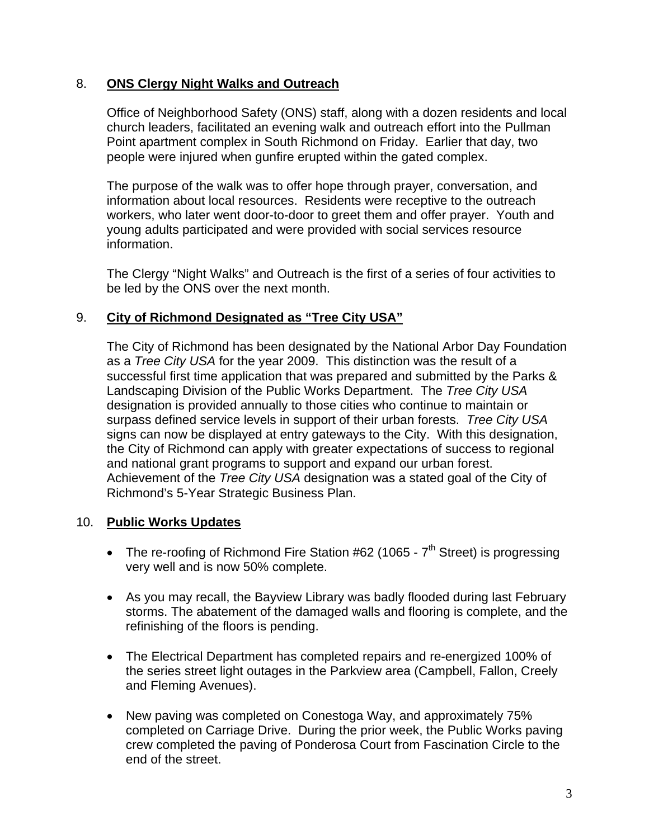## 8. **ONS Clergy Night Walks and Outreach**

Office of Neighborhood Safety (ONS) staff, along with a dozen residents and local church leaders, facilitated an evening walk and outreach effort into the Pullman Point apartment complex in South Richmond on Friday. Earlier that day, two people were injured when gunfire erupted within the gated complex.

The purpose of the walk was to offer hope through prayer, conversation, and information about local resources. Residents were receptive to the outreach workers, who later went door-to-door to greet them and offer prayer. Youth and young adults participated and were provided with social services resource information.

The Clergy "Night Walks" and Outreach is the first of a series of four activities to be led by the ONS over the next month.

### 9. **City of Richmond Designated as "Tree City USA"**

The City of Richmond has been designated by the National Arbor Day Foundation as a *Tree City USA* for the year 2009. This distinction was the result of a successful first time application that was prepared and submitted by the Parks & Landscaping Division of the Public Works Department. The *Tree City USA* designation is provided annually to those cities who continue to maintain or surpass defined service levels in support of their urban forests. *Tree City USA* signs can now be displayed at entry gateways to the City. With this designation, the City of Richmond can apply with greater expectations of success to regional and national grant programs to support and expand our urban forest. Achievement of the *Tree City USA* designation was a stated goal of the City of Richmond's 5-Year Strategic Business Plan.

#### 10. **Public Works Updates**

- The re-roofing of Richmond Fire Station  $#62$  (1065  $7<sup>th</sup>$  Street) is progressing very well and is now 50% complete.
- As you may recall, the Bayview Library was badly flooded during last February storms. The abatement of the damaged walls and flooring is complete, and the refinishing of the floors is pending.
- The Electrical Department has completed repairs and re-energized 100% of the series street light outages in the Parkview area (Campbell, Fallon, Creely and Fleming Avenues).
- New paving was completed on Conestoga Way, and approximately 75% completed on Carriage Drive. During the prior week, the Public Works paving crew completed the paving of Ponderosa Court from Fascination Circle to the end of the street.